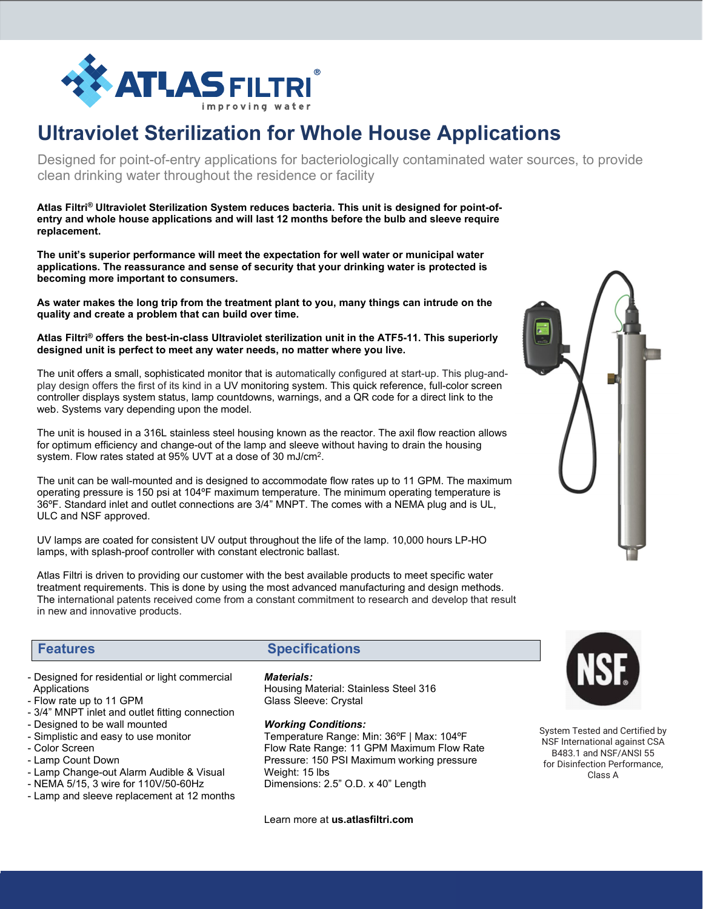

# **Ultraviolet Sterilization for Whole House Applications**

Designed for point-of-entry applications for bacteriologically contaminated water sources, to provide clean drinking water throughout the residence or facility

**Atlas Filtri® Ultraviolet Sterilization System reduces bacteria. This unit is designed for point-ofentry and whole house applications and will last 12 months before the bulb and sleeve require replacement.** 

**The unit's superior performance will meet the expectation for well water or municipal water applications. The reassurance and sense of security that your drinking water is protected is becoming more important to consumers.** 

**As water makes the long trip from the treatment plant to you, many things can intrude on the quality and create a problem that can build over time.** 

# **Atlas Filtri® offers the best-in-class Ultraviolet sterilization unit in the ATF5-11. This superiorly designed unit is perfect to meet any water needs, no matter where you live.**

The unit offers a small, sophisticated monitor that is automatically configured at start-up. This plug-andplay design offers the first of its kind in a UV monitoring system. This quick reference, full-color screen controller displays system status, lamp countdowns, warnings, and a QR code for a direct link to the web. Systems vary depending upon the model.

The unit is housed in a 316L stainless steel housing known as the reactor. The axil flow reaction allows for optimum efficiency and change-out of the lamp and sleeve without having to drain the housing system. Flow rates stated at 95% UVT at a dose of 30 mJ/cm2.

The unit can be wall-mounted and is designed to accommodate flow rates up to 11 GPM. The maximum operating pressure is 150 psi at 104ºF maximum temperature. The minimum operating temperature is 36ºF. Standard inlet and outlet connections are 3/4" MNPT. The comes with a NEMA plug and is UL, ULC and NSF approved.

UV lamps are coated for consistent UV output throughout the life of the lamp. 10,000 hours LP-HO lamps, with splash-proof controller with constant electronic ballast.

Atlas Filtri is driven to providing our customer with the best available products to meet specific water treatment requirements. This is done by using the most advanced manufacturing and design methods. The international patents received come from a constant commitment to research and develop that result in new and innovative products.

## - Designed for residential or light commercial Applications

- Flow rate up to 11 GPM
- 3/4" MNPT inlet and outlet fitting connection
- Designed to be wall mounted
- Simplistic and easy to use monitor
- Color Screen
- Lamp Count Down
- Lamp Change-out Alarm Audible & Visual
- NEMA 5/15, 3 wire for 110V/50-60Hz
- Lamp and sleeve replacement at 12 months

# **Features Specifications**

# *Materials:*

Housing Material: Stainless Steel 316 Glass Sleeve: Crystal

*Working Conditions:*

Temperature Range: Min: 36ºF | Max: 104ºF Flow Rate Range: 11 GPM Maximum Flow Rate Pressure: 150 PSI Maximum working pressure Weight: 15 lbs Dimensions: 2.5" O.D. x 40" Length

Learn more at **us.atlasfiltri.com**





 for Disinfection Performance, System Tested and Certified by NSF International against CSA B483.1 and NSF/ANSI 55 Class A